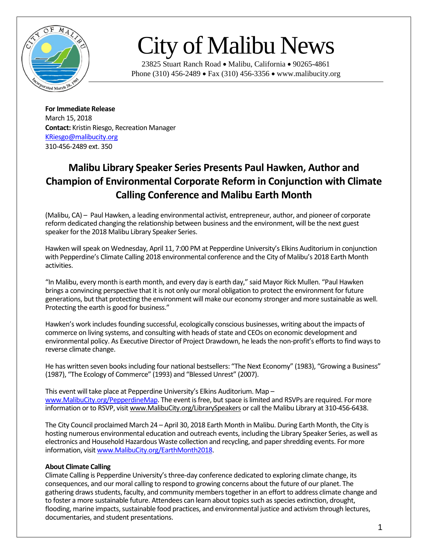

## City of Malibu News

23825 Stuart Ranch Road • Malibu, California • 90265-4861 Phone (310) 456-2489 • Fax (310) 456-3356 • www.malibucity.org

**For Immediate Release** March 15, 2018 **Contact:** Kristin Riesgo, Recreation Manager [KRiesgo@malibucity.org](mailto:KRiesgo@malibucity.org) 310-456-2489 ext. 350

## **Malibu Library Speaker Series Presents Paul Hawken, Author and Champion of Environmental Corporate Reform in Conjunction with Climate Calling Conference and Malibu Earth Month**

(Malibu, CA) – Paul Hawken, a leading environmental activist, entrepreneur, author, and pioneer of corporate reform dedicated changing the relationship between business and the environment, will be the next guest speaker for the 2018 Malibu Library Speaker Series.

Hawken will speak on Wednesday, April 11, 7:00 PM at Pepperdine University's Elkins Auditorium in conjunction with Pepperdine's Climate Calling 2018 environmental conference and the City of Malibu's 2018 Earth Month activities.

"In Malibu, every month is earth month, and every day is earth day," said Mayor Rick Mullen. "Paul Hawken brings a convincing perspective that it is not only our moral obligation to protect the environment for future generations, but that protecting the environment will make our economy stronger and more sustainable as well. Protecting the earth is good for business."

Hawken's work includes founding successful, ecologically conscious businesses, writing about the impacts of commerce on living systems, and consulting with heads of state and CEOs on economic development and environmental policy. As Executive Director of Project Drawdown, he leads the non-profit's efforts to find ways to reverse climate change.

He has written seven books including four national bestsellers: "The Next Economy" (1983), "Growing a Business" (1987), "The Ecology of Commerce" (1993) and "Blessed Unrest" (2007).

This event will take place at Pepperdine University's Elkins Auditorium. Map – [www.MalibuCity.org/PepperdineMap.](http://www.malibucity.org/PepperdineMap) The event is free, but space is limited and RSVPs are required. For more information or to RSVP, visi[t www.MalibuCity.org/LibrarySpeakers](http://www.malibucity.org/LibrarySpeakers) or call the Malibu Library at 310-456-6438.

The City Council proclaimed March 24 – April 30, 2018 Earth Month in Malibu. During Earth Month, the City is hosting numerous environmental education and outreach events, including the Library Speaker Series, as well as electronics and Household Hazardous Waste collection and recycling, and paper shredding events. For more information, visi[t www.MalibuCity.org/EarthMonth2018.](http://www.malibucity.org/EarthMonth2018)

## **About Climate Calling**

Climate Calling is Pepperdine University's three-day conference dedicated to exploring climate change, its consequences, and our moral calling to respond to growing concerns about the future of our planet. The gathering draws students, faculty, and community members together in an effort to address climate change and to foster a more sustainable future. Attendees can learn about topics such as species extinction, drought, flooding, marine impacts, sustainable food practices, and environmental justice and activism through lectures, documentaries, and student presentations.